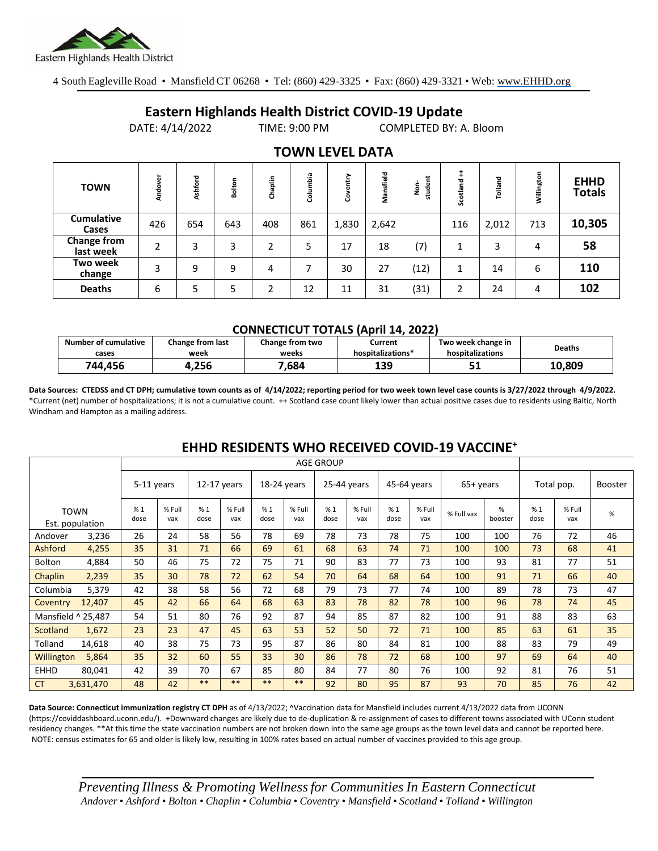

4 South Eagleville Road • Mansfield CT 06268 • Tel: (860) 429-3325 • Fax: (860) 429-3321 • Web: www.EHHD.org

## **Eastern Highlands Health District COVID-19 Update**

DATE: 4/14/2022 TIME: 9:00 PM COMPLETED BY: A. Bloom

| <b>TOWN</b>                | Andover | Ashford | Bolton | Chaplin | Columbia | ⋗<br>흠<br>8 | Mansfield | student<br>ġ | Scotland | Tolland | Willington | <b>EHHD</b><br><b>Totals</b> |
|----------------------------|---------|---------|--------|---------|----------|-------------|-----------|--------------|----------|---------|------------|------------------------------|
| <b>Cumulative</b><br>Cases | 426     | 654     | 643    | 408     | 861      | 1,830       | 2,642     |              | 116      | 2,012   | 713        | 10,305                       |
| Change from<br>last week   | 2       | 3       | 3      | 2       | 5        | 17          | 18        | (7)          |          | 3       | 4          | 58                           |
| Two week<br>change         | 3       | 9       | 9      | 4       | 7        | 30          | 27        | (12)         | 1        | 14      | 6          | 110                          |
| <b>Deaths</b>              | 6       | 5       | 5      | ำ       | 12       | 11          | 31        | (31)         | 2        | 24      | 4          | 102                          |

### **TOWN LEVEL DATA**

#### **CONNECTICUT TOTALS (April 14, 2022)**

| <b>Number of cumulative</b> | Change from last | Change from two | Current           | Two week change in | <b>Deaths</b> |
|-----------------------------|------------------|-----------------|-------------------|--------------------|---------------|
| cases                       | week             | weeks           | hospitalizations* | hospitalizations   |               |
| 744.456                     | 256ء             | .684            | 139               | JI                 | 10.809        |

**Data Sources: CTEDSS and CT DPH; cumulative town counts as of 4/14/2022; reporting period for two week town level case counts is 3/27/2022 through 4/9/2022.** \*Current (net) number of hospitalizations; it is not a cumulative count. ++ Scotland case count likely lower than actual positive cases due to residents using Baltic, North Windham and Hampton as a mailing address.

|                    |                                | <b>AGE GROUP</b> |               |               |               |             |               |             |               |             |               |            |              |            |               |                |
|--------------------|--------------------------------|------------------|---------------|---------------|---------------|-------------|---------------|-------------|---------------|-------------|---------------|------------|--------------|------------|---------------|----------------|
|                    |                                | 5-11 years       |               | $12-17$ years |               | 18-24 years |               | 25-44 years |               | 45-64 years |               | 65+ years  |              | Total pop. |               | <b>Booster</b> |
|                    | <b>TOWN</b><br>Est. population | %1<br>dose       | % Full<br>vax | %1<br>dose    | % Full<br>vax | %1<br>dose  | % Full<br>vax | %1<br>dose  | % Full<br>vax | %1<br>dose  | % Full<br>vax | % Full vax | %<br>booster | %1<br>dose | % Full<br>vax | $\%$           |
| Andover            | 3,236                          | 26               | 24            | 58            | 56            | 78          | 69            | 78          | 73            | 78          | 75            | 100        | 100          | 76         | 72            | 46             |
| Ashford            | 4,255                          | 35               | 31            | 71            | 66            | 69          | 61            | 68          | 63            | 74          | 71            | 100        | 100          | 73         | 68            | 41             |
| Bolton             | 4,884                          | 50               | 46            | 75            | 72            | 75          | 71            | 90          | 83            | 77          | 73            | 100        | 93           | 81         | 77            | 51             |
| Chaplin            | 2,239                          | 35               | 30            | 78            | 72            | 62          | 54            | 70          | 64            | 68          | 64            | 100        | 91           | 71         | 66            | 40             |
| Columbia           | 5,379                          | 42               | 38            | 58            | 56            | 72          | 68            | 79          | 73            | 77          | 74            | 100        | 89           | 78         | 73            | 47             |
| Coventry           | 12,407                         | 45               | 42            | 66            | 64            | 68          | 63            | 83          | 78            | 82          | 78            | 100        | 96           | 78         | 74            | 45             |
| Mansfield ^ 25,487 |                                | 54               | 51            | 80            | 76            | 92          | 87            | 94          | 85            | 87          | 82            | 100        | 91           | 88         | 83            | 63             |
| Scotland           | 1,672                          | 23               | 23            | 47            | 45            | 63          | 53            | 52          | 50            | 72          | 71            | 100        | 85           | 63         | 61            | 35             |
| Tolland            | 14,618                         | 40               | 38            | 75            | 73            | 95          | 87            | 86          | 80            | 84          | 81            | 100        | 88           | 83         | 79            | 49             |
| Willington         | 5,864                          | 35               | 32            | 60            | 55            | 33          | 30            | 86          | 78            | 72          | 68            | 100        | 97           | 69         | 64            | 40             |
| <b>EHHD</b>        | 80.041                         | 42               | 39            | 70            | 67            | 85          | 80            | 84          | 77            | 80          | 76            | 100        | 92           | 81         | 76            | 51             |
| <b>CT</b>          | 3,631,470                      | 48               | 42            | $***$         | $***$         | **          | $***$         | 92          | 80            | 95          | 87            | 93         | 70           | 85         | 76            | 42             |

## **EHHD RESIDENTS WHO RECEIVED COVID-19 VACCINE<sup>+</sup>**

**Data Source: Connecticut immunization registry CT DPH** as of 4/13/2022; ^Vaccination data for Mansfield includes current 4/13/2022 data from UCONN (https://coviddashboard.uconn.edu/). +Downward changes are likely due to de-duplication & re-assignment of cases to different towns associated with UConn student residency changes. \*\*At this time the state vaccination numbers are not broken down into the same age groups as the town level data and cannot be reported here. NOTE: census estimates for 65 and older is likely low, resulting in 100% rates based on actual number of vaccines provided to this age group.

*Preventing Illness & Promoting Wellnessfor Communities In Eastern Connecticut* Andover • Ashford • Bolton • Chaplin • Columbia • Coventry • Mansfield • Scotland • Tolland • Willington